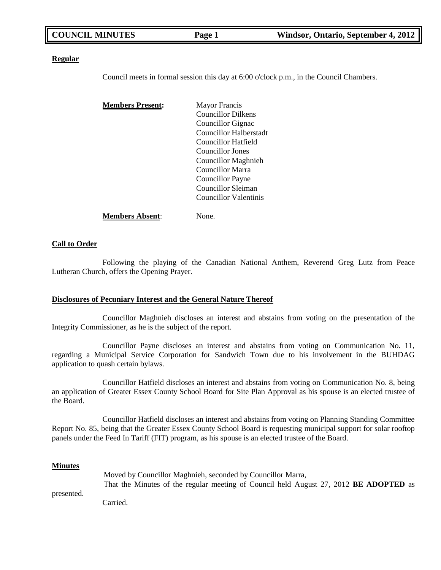| <b>COUNCIL MINUTES</b> | Page 1 | Windsor, Ontario, September 4, 2012 |
|------------------------|--------|-------------------------------------|
|                        |        |                                     |

### **Regular**

Council meets in formal session this day at 6:00 o'clock p.m., in the Council Chambers.

| <b>Members Present:</b> | <b>Mayor Francis</b>      |
|-------------------------|---------------------------|
|                         | <b>Councillor Dilkens</b> |
|                         | Councillor Gignac         |
|                         | Councillor Halberstadt    |
|                         | Councillor Hatfield       |
|                         | Councillor Jones          |
|                         | Councillor Maghnieh       |
|                         | <b>Councillor Marra</b>   |
|                         | Councillor Payne          |
|                         | Councillor Sleiman        |
|                         | Councillor Valentinis     |
| Members Absent:         | None.                     |

### **Call to Order**

Following the playing of the Canadian National Anthem, Reverend Greg Lutz from Peace Lutheran Church, offers the Opening Prayer.

#### **Disclosures of Pecuniary Interest and the General Nature Thereof**

Councillor Maghnieh discloses an interest and abstains from voting on the presentation of the Integrity Commissioner, as he is the subject of the report.

Councillor Payne discloses an interest and abstains from voting on Communication No. 11, regarding a Municipal Service Corporation for Sandwich Town due to his involvement in the BUHDAG application to quash certain bylaws.

Councillor Hatfield discloses an interest and abstains from voting on Communication No. 8, being an application of Greater Essex County School Board for Site Plan Approval as his spouse is an elected trustee of the Board.

Councillor Hatfield discloses an interest and abstains from voting on Planning Standing Committee Report No. 85, being that the Greater Essex County School Board is requesting municipal support for solar rooftop panels under the Feed In Tariff (FIT) program, as his spouse is an elected trustee of the Board.

### **Minutes**

|            | Moved by Councillor Maghnieh, seconded by Councillor Marra,                                  |
|------------|----------------------------------------------------------------------------------------------|
|            | That the Minutes of the regular meeting of Council held August 27, 2012 <b>BE ADOPTED</b> as |
| presented. |                                                                                              |
|            | Carried.                                                                                     |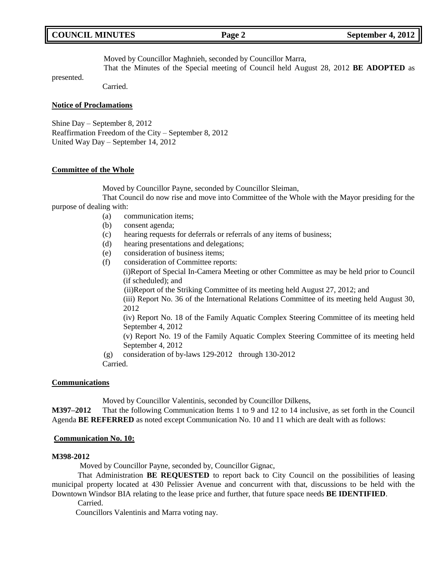## Moved by Councillor Maghnieh, seconded by Councillor Marra,

That the Minutes of the Special meeting of Council held August 28, 2012 **BE ADOPTED** as

Carried.

### **Notice of Proclamations**

presented.

Shine Day – September 8, 2012 Reaffirmation Freedom of the City – September 8, 2012 United Way Day – September 14, 2012

### **Committee of the Whole**

Moved by Councillor Payne, seconded by Councillor Sleiman,

That Council do now rise and move into Committee of the Whole with the Mayor presiding for the purpose of dealing with:

- (a) communication items;
- (b) consent agenda;
- (c) hearing requests for deferrals or referrals of any items of business;
- (d) hearing presentations and delegations;
- (e) consideration of business items;
- (f) consideration of Committee reports:

(i)Report of Special In-Camera Meeting or other Committee as may be held prior to Council (if scheduled); and

(ii)Report of the Striking Committee of its meeting held August 27, 2012; and

(iii) Report No. 36 of the International Relations Committee of its meeting held August 30, 2012

(iv) Report No. 18 of the Family Aquatic Complex Steering Committee of its meeting held September 4, 2012

(v) Report No. 19 of the Family Aquatic Complex Steering Committee of its meeting held September 4, 2012

(g) consideration of by-laws 129-2012 through 130-2012

Carried.

### **Communications**

Moved by Councillor Valentinis, seconded by Councillor Dilkens,

**M397–2012** That the following Communication Items 1 to 9 and 12 to 14 inclusive, as set forth in the Council Agenda **BE REFERRED** as noted except Communication No. 10 and 11 which are dealt with as follows:

### **Communication No. 10:**

### **M398-2012**

Moved by Councillor Payne, seconded by, Councillor Gignac,

That Administration **BE REQUESTED** to report back to City Council on the possibilities of leasing municipal property located at 430 Pelissier Avenue and concurrent with that, discussions to be held with the Downtown Windsor BIA relating to the lease price and further, that future space needs **BE IDENTIFIED**.

Carried.

Councillors Valentinis and Marra voting nay.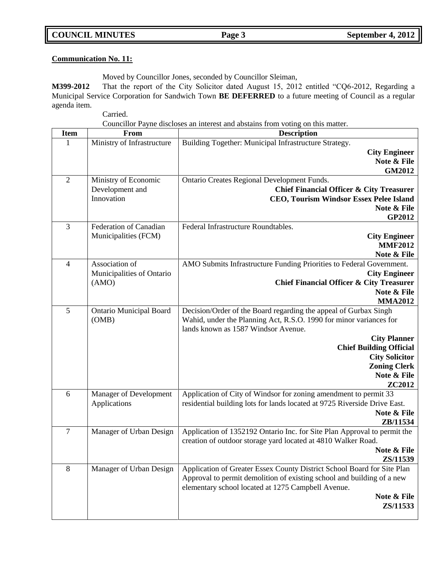## **COUNCIL MINUTES Page 3 September 4, 2012**

## **Communication No. 11:**

Moved by Councillor Jones, seconded by Councillor Sleiman,

**M399-2012** That the report of the City Solicitor dated August 15, 2012 entitled "CQ6-2012, Regarding a Municipal Service Corporation for Sandwich Town **BE DEFERRED** to a future meeting of Council as a regular agenda item.

Carried.

Councillor Payne discloses an interest and abstains from voting on this matter.

| Item           | From                           | <b>Description</b>                                                        |
|----------------|--------------------------------|---------------------------------------------------------------------------|
| 1              | Ministry of Infrastructure     | Building Together: Municipal Infrastructure Strategy.                     |
|                |                                | <b>City Engineer</b>                                                      |
|                |                                | Note & File                                                               |
|                |                                | <b>GM2012</b>                                                             |
| $\overline{2}$ | Ministry of Economic           | Ontario Creates Regional Development Funds.                               |
|                | Development and                | <b>Chief Financial Officer &amp; City Treasurer</b>                       |
|                | Innovation                     | <b>CEO, Tourism Windsor Essex Pelee Island</b>                            |
|                |                                | Note & File                                                               |
| $\overline{3}$ | Federation of Canadian         | GP2012<br>Federal Infrastructure Roundtables.                             |
|                | Municipalities (FCM)           | <b>City Engineer</b>                                                      |
|                |                                | <b>MMF2012</b>                                                            |
|                |                                | Note & File                                                               |
| $\overline{4}$ | Association of                 | AMO Submits Infrastructure Funding Priorities to Federal Government.      |
|                | Municipalities of Ontario      | <b>City Engineer</b>                                                      |
|                | (AMO)                          | <b>Chief Financial Officer &amp; City Treasurer</b>                       |
|                |                                | Note & File                                                               |
|                |                                | <b>MMA2012</b>                                                            |
| 5              | <b>Ontario Municipal Board</b> | Decision/Order of the Board regarding the appeal of Gurbax Singh          |
|                | (OMB)                          | Wahid, under the Planning Act, R.S.O. 1990 for minor variances for        |
|                |                                | lands known as 1587 Windsor Avenue.                                       |
|                |                                | <b>City Planner</b>                                                       |
|                |                                | <b>Chief Building Official</b>                                            |
|                |                                | <b>City Solicitor</b>                                                     |
|                |                                | <b>Zoning Clerk</b><br>Note & File                                        |
|                |                                | ZC2012                                                                    |
| 6              | Manager of Development         | Application of City of Windsor for zoning amendment to permit 33          |
|                | Applications                   | residential building lots for lands located at 9725 Riverside Drive East. |
|                |                                | Note & File                                                               |
|                |                                | ZB/11534                                                                  |
| $\overline{7}$ | Manager of Urban Design        | Application of 1352192 Ontario Inc. for Site Plan Approval to permit the  |
|                |                                | creation of outdoor storage yard located at 4810 Walker Road.             |
|                |                                | Note & File                                                               |
|                |                                | ZS/11539                                                                  |
| 8              | Manager of Urban Design        | Application of Greater Essex County District School Board for Site Plan   |
|                |                                | Approval to permit demolition of existing school and building of a new    |
|                |                                | elementary school located at 1275 Campbell Avenue.                        |
|                |                                | Note & File                                                               |
|                |                                | ZS/11533                                                                  |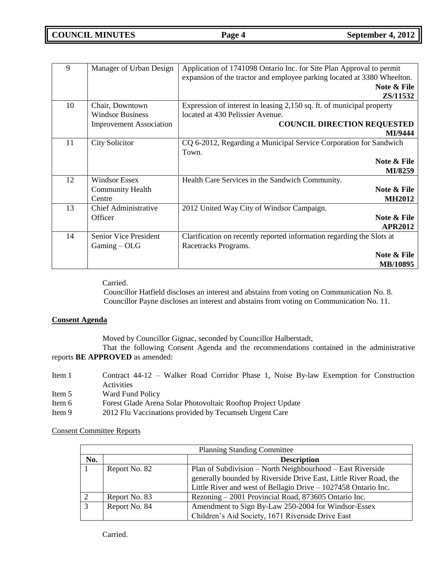| 9  | Manager of Urban Design        | Application of 1741098 Ontario Inc. for Site Plan Approval to permit    |
|----|--------------------------------|-------------------------------------------------------------------------|
|    |                                | expansion of the tractor and employee parking located at 3380 Wheelton. |
|    |                                | Note & File                                                             |
|    |                                | ZS/11532                                                                |
| 10 | Chair, Downtown                | Expression of interest in leasing 2,150 sq. ft. of municipal property   |
|    | <b>Windsor Business</b>        | located at 430 Pelissier Avenue.                                        |
|    | <b>Improvement Association</b> | <b>COUNCIL DIRECTION REQUESTED</b>                                      |
|    |                                | MI/9444                                                                 |
| 11 | <b>City Solicitor</b>          | CQ 6-2012, Regarding a Municipal Service Corporation for Sandwich       |
|    |                                | Town.                                                                   |
|    |                                | Note & File                                                             |
|    |                                | MI/8259                                                                 |
| 12 | <b>Windsor Essex</b>           | Health Care Services in the Sandwich Community.                         |
|    | <b>Community Health</b>        | Note & File                                                             |
|    | Centre                         | <b>MH2012</b>                                                           |
| 13 | <b>Chief Administrative</b>    | 2012 United Way City of Windsor Campaign.                               |
|    | Officer                        | Note & File                                                             |
|    |                                | <b>APR2012</b>                                                          |
| 14 | Senior Vice President          | Clarification on recently reported information regarding the Slots at   |
|    | Gaming - OLG                   | Racetracks Programs.                                                    |
|    |                                | Note & File                                                             |
|    |                                | <b>MB/10895</b>                                                         |

Carried.

Councillor Hatfield discloses an interest and abstains from voting on Communication No. 8. Councillor Payne discloses an interest and abstains from voting on Communication No. 11.

## **Consent Agenda**

Moved by Councillor Gignac, seconded by Councillor Halberstadt,

That the following Consent Agenda and the recommendations contained in the administrative reports **BE APPROVED** as amended:

| Item 1 | Contract 44-12 – Walker Road Corridor Phase 1, Noise By-law Exemption for Construction |
|--------|----------------------------------------------------------------------------------------|
|        | Activities                                                                             |
| Item 5 | Ward Fund Policy                                                                       |
| Item 6 | Forest Glade Arena Solar Photovoltaic Rooftop Project Update                           |
| Item 9 | 2012 Flu Vaccinations provided by Tecumseh Urgent Care                                 |

Consent Committee Reports

| <b>Planning Standing Committee</b> |               |                                                                                                                                 |
|------------------------------------|---------------|---------------------------------------------------------------------------------------------------------------------------------|
| No.                                |               | <b>Description</b>                                                                                                              |
|                                    | Report No. 82 | Plan of Subdivision – North Neighbourhood – East Riverside<br>generally bounded by Riverside Drive East, Little River Road, the |
|                                    |               | Little River and west of Bellagio Drive - 1027458 Ontario Inc.                                                                  |
|                                    | Report No. 83 | Rezoning – 2001 Provincial Road, 873605 Ontario Inc.                                                                            |
| 3                                  | Report No. 84 | Amendment to Sign By-Law 250-2004 for Windsor-Essex<br>Children's Aid Society, 1671 Riverside Drive East                        |

Carried.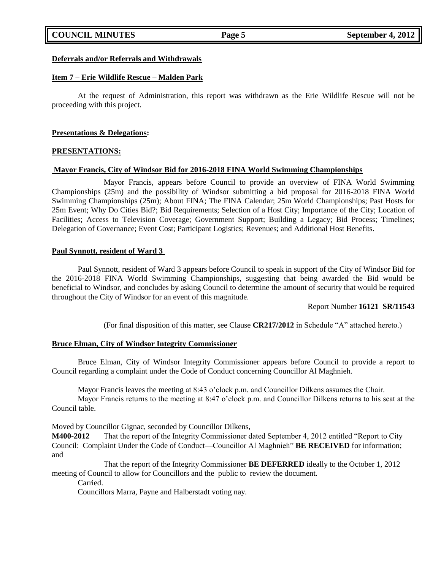## **COUNCIL MINUTES Page 5 September 4, 2012**

### **Deferrals and/or Referrals and Withdrawals**

### **Item 7 – Erie Wildlife Rescue – Malden Park**

At the request of Administration, this report was withdrawn as the Erie Wildlife Rescue will not be proceeding with this project.

### **Presentations & Delegations:**

### **PRESENTATIONS:**

### **Mayor Francis, City of Windsor Bid for 2016-2018 FINA World Swimming Championships**

Mayor Francis, appears before Council to provide an overview of FINA World Swimming Championships (25m) and the possibility of Windsor submitting a bid proposal for 2016-2018 FINA World Swimming Championships (25m); About FINA; The FINA Calendar; 25m World Championships; Past Hosts for 25m Event; Why Do Cities Bid?; Bid Requirements; Selection of a Host City; Importance of the City; Location of Facilities; Access to Television Coverage; Government Support; Building a Legacy; Bid Process; Timelines; Delegation of Governance; Event Cost; Participant Logistics; Revenues; and Additional Host Benefits.

### **Paul Synnott, resident of Ward 3**

Paul Synnott, resident of Ward 3 appears before Council to speak in support of the City of Windsor Bid for the 2016-2018 FINA World Swimming Championships, suggesting that being awarded the Bid would be beneficial to Windsor, and concludes by asking Council to determine the amount of security that would be required throughout the City of Windsor for an event of this magnitude.

### Report Number **16121 SR/11543**

(For final disposition of this matter, see Clause CR217/2012 in Schedule "A" attached hereto.)

### **Bruce Elman, City of Windsor Integrity Commissioner**

Bruce Elman, City of Windsor Integrity Commissioner appears before Council to provide a report to Council regarding a complaint under the Code of Conduct concerning Councillor Al Maghnieh.

Mayor Francis leaves the meeting at 8:43 o'clock p.m. and Councillor Dilkens assumes the Chair.

Mayor Francis returns to the meeting at 8:47 o'clock p.m. and Councillor Dilkens returns to his seat at the Council table.

Moved by Councillor Gignac, seconded by Councillor Dilkens,

**M400-2012** That the report of the Integrity Commissioner dated September 4, 2012 entitled "Report to City" Council: Complaint Under the Code of Conduct—Councillor Al Maghnieh<sup>"</sup> **BE RECEIVED** for information; and

That the report of the Integrity Commissioner **BE DEFERRED** ideally to the October 1, 2012 meeting of Council to allow for Councillors and the public to review the document.

Carried.

Councillors Marra, Payne and Halberstadt voting nay.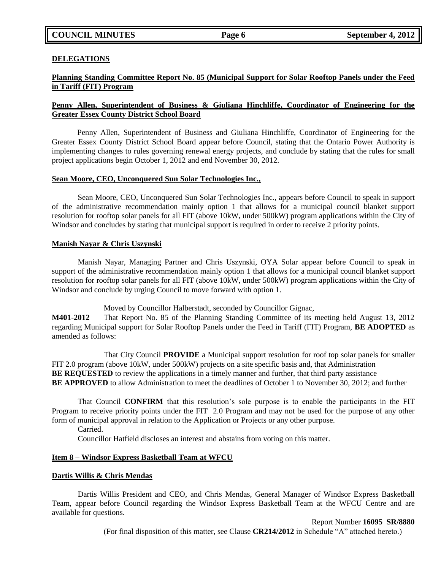### **DELEGATIONS**

## **Planning Standing Committee Report No. 85 (Municipal Support for Solar Rooftop Panels under the Feed in Tariff (FIT) Program**

## **Penny Allen, Superintendent of Business & Giuliana Hinchliffe, Coordinator of Engineering for the Greater Essex County District School Board**

Penny Allen, Superintendent of Business and Giuliana Hinchliffe, Coordinator of Engineering for the Greater Essex County District School Board appear before Council, stating that the Ontario Power Authority is implementing changes to rules governing renewal energy projects, and conclude by stating that the rules for small project applications begin October 1, 2012 and end November 30, 2012.

### **Sean Moore, CEO, Unconquered Sun Solar Technologies Inc.,**

Sean Moore, CEO, Unconquered Sun Solar Technologies Inc., appears before Council to speak in support of the administrative recommendation mainly option 1 that allows for a municipal council blanket support resolution for rooftop solar panels for all FIT (above 10kW, under 500kW) program applications within the City of Windsor and concludes by stating that municipal support is required in order to receive 2 priority points.

### **Manish Nayar & Chris Uszynski**

Manish Nayar, Managing Partner and Chris Uszynski, OYA Solar appear before Council to speak in support of the administrative recommendation mainly option 1 that allows for a municipal council blanket support resolution for rooftop solar panels for all FIT (above 10kW, under 500kW) program applications within the City of Windsor and conclude by urging Council to move forward with option 1.

Moved by Councillor Halberstadt, seconded by Councillor Gignac,

**M401-2012** That Report No. 85 of the Planning Standing Committee of its meeting held August 13, 2012 regarding Municipal support for Solar Rooftop Panels under the Feed in Tariff (FIT) Program, **BE ADOPTED** as amended as follows:

That City Council **PROVIDE** a Municipal support resolution for roof top solar panels for smaller FIT 2.0 program (above 10kW, under 500kW) projects on a site specific basis and, that Administration **BE REQUESTED** to review the applications in a timely manner and further, that third party assistance **BE APPROVED** to allow Administration to meet the deadlines of October 1 to November 30, 2012; and further

That Council **CONFIRM** that this resolution's sole purpose is to enable the participants in the FIT Program to receive priority points under the FIT 2.0 Program and may not be used for the purpose of any other form of municipal approval in relation to the Application or Projects or any other purpose.

### Carried.

Councillor Hatfield discloses an interest and abstains from voting on this matter.

### **Item 8 – Windsor Express Basketball Team at WFCU**

### **Dartis Willis & Chris Mendas**

Dartis Willis President and CEO, and Chris Mendas, General Manager of Windsor Express Basketball Team, appear before Council regarding the Windsor Express Basketball Team at the WFCU Centre and are available for questions.

Report Number **16095 SR/8880**

(For final disposition of this matter, see Clause CR214/2012 in Schedule "A" attached hereto.)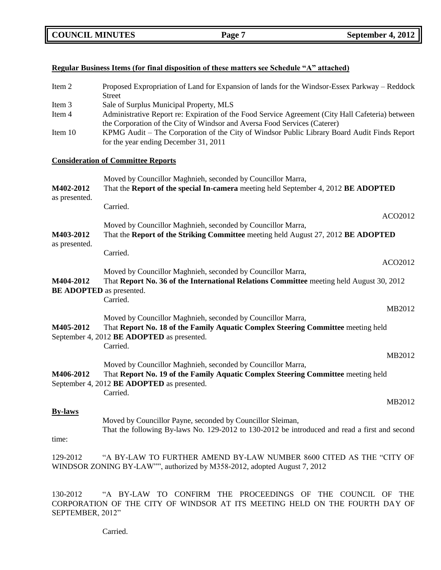| Regular Business Items (for final disposition of these matters see Schedule "A" attached)                                                                   |                                                                                                                                                                                                                                                                                                                                                                  |  |
|-------------------------------------------------------------------------------------------------------------------------------------------------------------|------------------------------------------------------------------------------------------------------------------------------------------------------------------------------------------------------------------------------------------------------------------------------------------------------------------------------------------------------------------|--|
| Item 2                                                                                                                                                      | Proposed Expropriation of Land for Expansion of lands for the Windsor-Essex Parkway – Reddock<br><b>Street</b>                                                                                                                                                                                                                                                   |  |
| Item 3<br>Item 4<br>Item 10                                                                                                                                 | Sale of Surplus Municipal Property, MLS<br>Administrative Report re: Expiration of the Food Service Agreement (City Hall Cafeteria) between<br>the Corporation of the City of Windsor and Aversa Food Services (Caterer)<br>KPMG Audit - The Corporation of the City of Windsor Public Library Board Audit Finds Report<br>for the year ending December 31, 2011 |  |
|                                                                                                                                                             | <b>Consideration of Committee Reports</b>                                                                                                                                                                                                                                                                                                                        |  |
| M402-2012<br>as presented.                                                                                                                                  | Moved by Councillor Maghnieh, seconded by Councillor Marra,<br>That the Report of the special In-camera meeting held September 4, 2012 BE ADOPTED<br>Carried.                                                                                                                                                                                                    |  |
| M403-2012                                                                                                                                                   | ACO2012<br>Moved by Councillor Maghnieh, seconded by Councillor Marra,<br>That the Report of the Striking Committee meeting held August 27, 2012 BE ADOPTED                                                                                                                                                                                                      |  |
| as presented.                                                                                                                                               | Carried.<br>ACO2012<br>Moved by Councillor Maghnieh, seconded by Councillor Marra,                                                                                                                                                                                                                                                                               |  |
| That Report No. 36 of the International Relations Committee meeting held August 30, 2012<br>M404-2012<br>BE ADOPTED as presented.<br>Carried.               |                                                                                                                                                                                                                                                                                                                                                                  |  |
| M405-2012                                                                                                                                                   | MB2012<br>Moved by Councillor Maghnieh, seconded by Councillor Marra,<br>That Report No. 18 of the Family Aquatic Complex Steering Committee meeting held<br>September 4, 2012 BE ADOPTED as presented.<br>Carried.                                                                                                                                              |  |
| M406-2012                                                                                                                                                   | MB2012<br>Moved by Councillor Maghnieh, seconded by Councillor Marra,<br>That Report No. 19 of the Family Aquatic Complex Steering Committee meeting held<br>September 4, 2012 <b>BE ADOPTED</b> as presented.                                                                                                                                                   |  |
| <b>By-laws</b><br>time:                                                                                                                                     | Carried.<br>MB2012<br>Moved by Councillor Payne, seconded by Councillor Sleiman,<br>That the following By-laws No. 129-2012 to 130-2012 be introduced and read a first and second                                                                                                                                                                                |  |
| 129-2012<br>"A BY-LAW TO FURTHER AMEND BY-LAW NUMBER 8600 CITED AS THE "CITY OF<br>WINDSOR ZONING BY-LAW"", authorized by M358-2012, adopted August 7, 2012 |                                                                                                                                                                                                                                                                                                                                                                  |  |
|                                                                                                                                                             |                                                                                                                                                                                                                                                                                                                                                                  |  |

130-2012 ―A BY-LAW TO CONFIRM THE PROCEEDINGS OF THE COUNCIL OF THE CORPORATION OF THE CITY OF WINDSOR AT ITS MEETING HELD ON THE FOURTH DAY OF SEPTEMBER, 2012"

Carried.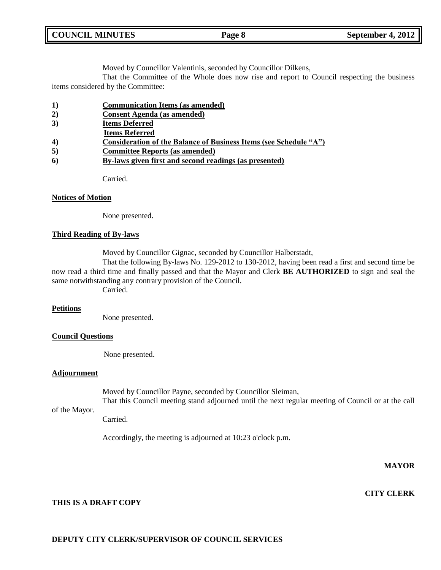| <b>COUNCIL MINUTES</b> | Page 8 | September 4, 2012 |
|------------------------|--------|-------------------|
|                        |        |                   |

Moved by Councillor Valentinis, seconded by Councillor Dilkens,

That the Committee of the Whole does now rise and report to Council respecting the business items considered by the Committee:

- **1) Communication Items (as amended)**
- **2) Consent Agenda (as amended)**
- **3) Items Deferred**
- **Items Referred**
- **4) Consideration of the Balance of Business Items (see Schedule "A")**
- **5) Committee Reports (as amended)**
- **6) By-laws given first and second readings (as presented)**

Carried.

### **Notices of Motion**

None presented.

### **Third Reading of By-laws**

Moved by Councillor Gignac, seconded by Councillor Halberstadt,

That the following By-laws No. 129-2012 to 130-2012, having been read a first and second time be now read a third time and finally passed and that the Mayor and Clerk **BE AUTHORIZED** to sign and seal the same notwithstanding any contrary provision of the Council.

Carried.

### **Petitions**

None presented.

## **Council Questions**

None presented.

### **Adjournment**

of the Mayor.

Moved by Councillor Payne, seconded by Councillor Sleiman,

That this Council meeting stand adjourned until the next regular meeting of Council or at the call

Carried.

Accordingly, the meeting is adjourned at 10:23 o'clock p.m.

## **MAYOR**

**CITY CLERK**

## **THIS IS A DRAFT COPY**

## **DEPUTY CITY CLERK/SUPERVISOR OF COUNCIL SERVICES**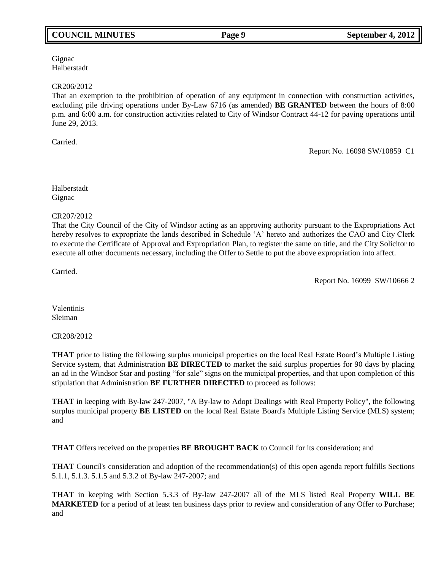## **COUNCIL MINUTES Page 9 September 4, 2012**

Gignac Halberstadt

### CR206/2012

That an exemption to the prohibition of operation of any equipment in connection with construction activities, excluding pile driving operations under By-Law 6716 (as amended) **BE GRANTED** between the hours of 8:00 p.m. and 6:00 a.m. for construction activities related to City of Windsor Contract 44-12 for paving operations until June 29, 2013.

Carried.

Report No. 16098 SW/10859 C1

Halberstadt Gignac

CR207/2012

That the City Council of the City of Windsor acting as an approving authority pursuant to the Expropriations Act hereby resolves to expropriate the lands described in Schedule 'A' hereto and authorizes the CAO and City Clerk to execute the Certificate of Approval and Expropriation Plan, to register the same on title, and the City Solicitor to execute all other documents necessary, including the Offer to Settle to put the above expropriation into affect.

Carried.

Report No. 16099 SW/10666 2

Valentinis Sleiman

CR208/2012

**THAT** prior to listing the following surplus municipal properties on the local Real Estate Board's Multiple Listing Service system, that Administration **BE DIRECTED** to market the said surplus properties for 90 days by placing an ad in the Windsor Star and posting "for sale" signs on the municipal properties, and that upon completion of this stipulation that Administration **BE FURTHER DIRECTED** to proceed as follows:

**THAT** in keeping with By-law 247-2007, "A By-law to Adopt Dealings with Real Property Policy", the following surplus municipal property **BE LISTED** on the local Real Estate Board's Multiple Listing Service (MLS) system; and

**THAT** Offers received on the properties **BE BROUGHT BACK** to Council for its consideration; and

**THAT** Council's consideration and adoption of the recommendation(s) of this open agenda report fulfills Sections 5.1.1, 5.1.3. 5.1.5 and 5.3.2 of By-law 247-2007; and

**THAT** in keeping with Section 5.3.3 of By-law 247-2007 all of the MLS listed Real Property **WILL BE MARKETED** for a period of at least ten business days prior to review and consideration of any Offer to Purchase; and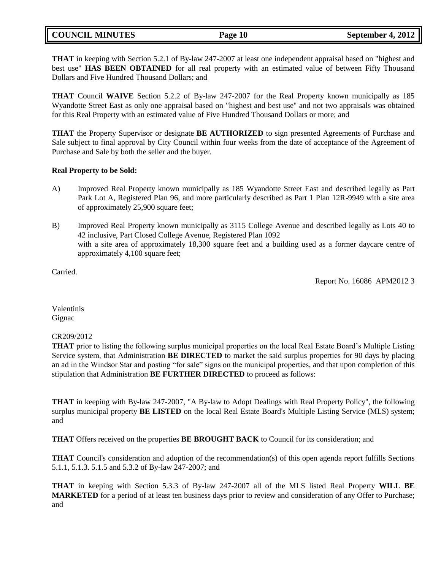## **COUNCIL MINUTES Page 10 September 4, 2012**

**THAT** in keeping with Section 5.2.1 of By-law 247-2007 at least one independent appraisal based on "highest and best use" **HAS BEEN OBTAINED** for all real property with an estimated value of between Fifty Thousand Dollars and Five Hundred Thousand Dollars; and

**THAT** Council **WAIVE** Section 5.2.2 of By-law 247-2007 for the Real Property known municipally as 185 Wyandotte Street East as only one appraisal based on "highest and best use" and not two appraisals was obtained for this Real Property with an estimated value of Five Hundred Thousand Dollars or more; and

**THAT** the Property Supervisor or designate **BE AUTHORIZED** to sign presented Agreements of Purchase and Sale subject to final approval by City Council within four weeks from the date of acceptance of the Agreement of Purchase and Sale by both the seller and the buyer.

### **Real Property to be Sold:**

- A) Improved Real Property known municipally as 185 Wyandotte Street East and described legally as Part Park Lot A, Registered Plan 96, and more particularly described as Part 1 Plan 12R-9949 with a site area of approximately 25,900 square feet;
- B) Improved Real Property known municipally as 3115 College Avenue and described legally as Lots 40 to 42 inclusive, Part Closed College Avenue, Registered Plan 1092 with a site area of approximately 18,300 square feet and a building used as a former daycare centre of approximately 4,100 square feet;

Carried.

Report No. 16086 APM2012 3

Valentinis **Gignac** 

## CR209/2012

**THAT** prior to listing the following surplus municipal properties on the local Real Estate Board's Multiple Listing Service system, that Administration **BE DIRECTED** to market the said surplus properties for 90 days by placing an ad in the Windsor Star and posting "for sale" signs on the municipal properties, and that upon completion of this stipulation that Administration **BE FURTHER DIRECTED** to proceed as follows:

**THAT** in keeping with By-law 247-2007, "A By-law to Adopt Dealings with Real Property Policy", the following surplus municipal property **BE LISTED** on the local Real Estate Board's Multiple Listing Service (MLS) system; and

**THAT** Offers received on the properties **BE BROUGHT BACK** to Council for its consideration; and

**THAT** Council's consideration and adoption of the recommendation(s) of this open agenda report fulfills Sections 5.1.1, 5.1.3. 5.1.5 and 5.3.2 of By-law 247-2007; and

**THAT** in keeping with Section 5.3.3 of By-law 247-2007 all of the MLS listed Real Property **WILL BE MARKETED** for a period of at least ten business days prior to review and consideration of any Offer to Purchase; and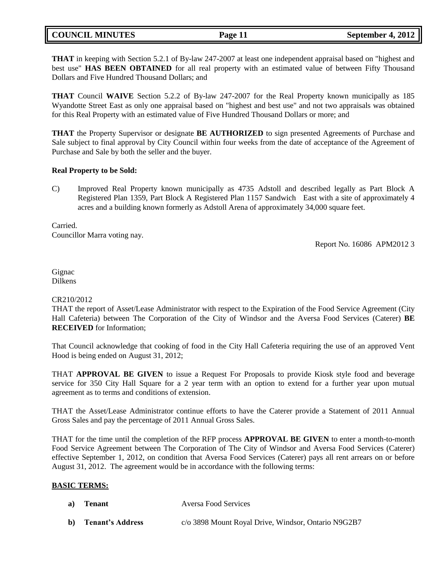## **COUNCIL MINUTES Page 11 September 4, 2012**

**THAT** in keeping with Section 5.2.1 of By-law 247-2007 at least one independent appraisal based on "highest and best use" **HAS BEEN OBTAINED** for all real property with an estimated value of between Fifty Thousand Dollars and Five Hundred Thousand Dollars; and

**THAT** Council **WAIVE** Section 5.2.2 of By-law 247-2007 for the Real Property known municipally as 185 Wyandotte Street East as only one appraisal based on "highest and best use" and not two appraisals was obtained for this Real Property with an estimated value of Five Hundred Thousand Dollars or more; and

**THAT** the Property Supervisor or designate **BE AUTHORIZED** to sign presented Agreements of Purchase and Sale subject to final approval by City Council within four weeks from the date of acceptance of the Agreement of Purchase and Sale by both the seller and the buyer.

### **Real Property to be Sold:**

C) Improved Real Property known municipally as 4735 Adstoll and described legally as Part Block A Registered Plan 1359, Part Block A Registered Plan 1157 Sandwich East with a site of approximately 4 acres and a building known formerly as Adstoll Arena of approximately 34,000 square feet.

Carried. Councillor Marra voting nay.

Report No. 16086 APM2012 3

Gignac Dilkens

## CR210/2012

THAT the report of Asset/Lease Administrator with respect to the Expiration of the Food Service Agreement (City Hall Cafeteria) between The Corporation of the City of Windsor and the Aversa Food Services (Caterer) **BE RECEIVED** for Information;

That Council acknowledge that cooking of food in the City Hall Cafeteria requiring the use of an approved Vent Hood is being ended on August 31, 2012;

THAT **APPROVAL BE GIVEN** to issue a Request For Proposals to provide Kiosk style food and beverage service for 350 City Hall Square for a 2 year term with an option to extend for a further year upon mutual agreement as to terms and conditions of extension.

THAT the Asset/Lease Administrator continue efforts to have the Caterer provide a Statement of 2011 Annual Gross Sales and pay the percentage of 2011 Annual Gross Sales.

THAT for the time until the completion of the RFP process **APPROVAL BE GIVEN** to enter a month-to-month Food Service Agreement between The Corporation of The City of Windsor and Aversa Food Services (Caterer) effective September 1, 2012, on condition that Aversa Food Services (Caterer) pays all rent arrears on or before August 31, 2012. The agreement would be in accordance with the following terms:

## **BASIC TERMS:**

| a) Tenant           | Aversa Food Services                                |
|---------------------|-----------------------------------------------------|
| b) Tenant's Address | c/o 3898 Mount Royal Drive, Windsor, Ontario N9G2B7 |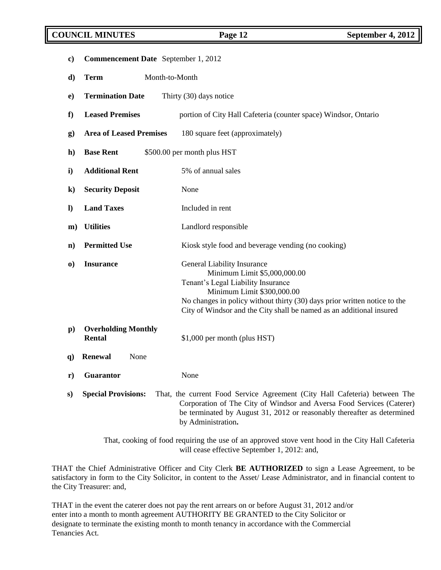## **COUNCIL MINUTES Page 12 September 4, 2012**

| $\mathbf{c})$ | Commencement Date September 1, 2012  |                                                                                                                                                                                                                                                                                             |
|---------------|--------------------------------------|---------------------------------------------------------------------------------------------------------------------------------------------------------------------------------------------------------------------------------------------------------------------------------------------|
| d)            | Month-to-Month<br><b>Term</b>        |                                                                                                                                                                                                                                                                                             |
| $\bf e)$      | <b>Termination Date</b>              | Thirty (30) days notice                                                                                                                                                                                                                                                                     |
| f             | <b>Leased Premises</b>               | portion of City Hall Cafeteria (counter space) Windsor, Ontario                                                                                                                                                                                                                             |
| $\bf{g}$      | <b>Area of Leased Premises</b>       | 180 square feet (approximately)                                                                                                                                                                                                                                                             |
| $\mathbf{h}$  | <b>Base Rent</b>                     | \$500.00 per month plus HST                                                                                                                                                                                                                                                                 |
| i)            | <b>Additional Rent</b>               | 5% of annual sales                                                                                                                                                                                                                                                                          |
| $\bf k)$      | <b>Security Deposit</b>              | None                                                                                                                                                                                                                                                                                        |
| $\bf{l}$      | <b>Land Taxes</b>                    | Included in rent                                                                                                                                                                                                                                                                            |
| $\mathbf{m}$  | <b>Utilities</b>                     | Landlord responsible                                                                                                                                                                                                                                                                        |
| $\mathbf{n}$  | <b>Permitted Use</b>                 | Kiosk style food and beverage vending (no cooking)                                                                                                                                                                                                                                          |
| $\bf{0}$      | <b>Insurance</b>                     | <b>General Liability Insurance</b><br>Minimum Limit \$5,000,000.00<br>Tenant's Legal Liability Insurance<br>Minimum Limit \$300,000.00<br>No changes in policy without thirty (30) days prior written notice to the<br>City of Windsor and the City shall be named as an additional insured |
| $\bf{p})$     | <b>Overholding Monthly</b><br>Rental | \$1,000 per month (plus HST)                                                                                                                                                                                                                                                                |
| <b>q</b> )    | <b>Renewal</b><br>None               |                                                                                                                                                                                                                                                                                             |
| ${\bf r})$    | <b>Guarantor</b>                     | None                                                                                                                                                                                                                                                                                        |
| S)            | <b>Special Provisions:</b>           | That, the current Food Service Agreement (City Hall Cafeteria) between The<br>Corporation of The City of Windsor and Aversa Food Services (Caterer)<br>be terminated by August 31, 2012 or reasonably thereafter as determined<br>by Administration.                                        |

That, cooking of food requiring the use of an approved stove vent hood in the City Hall Cafeteria will cease effective September 1, 2012: and,

THAT the Chief Administrative Officer and City Clerk **BE AUTHORIZED** to sign a Lease Agreement, to be satisfactory in form to the City Solicitor, in content to the Asset/ Lease Administrator, and in financial content to the City Treasurer: and,

THAT in the event the caterer does not pay the rent arrears on or before August 31, 2012 and/or enter into a month to month agreement AUTHORITY BE GRANTED to the City Solicitor or designate to terminate the existing month to month tenancy in accordance with the Commercial Tenancies Act.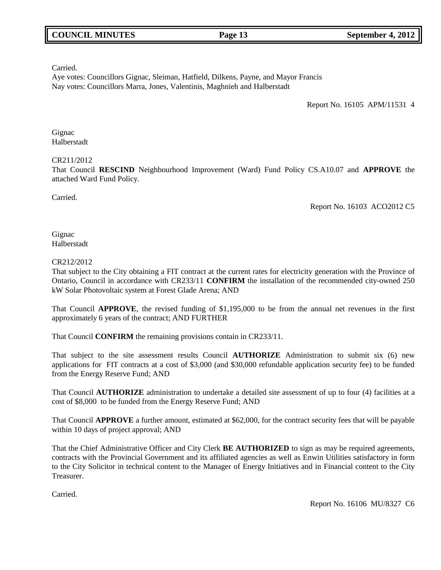Carried.

Aye votes: Councillors Gignac, Sleiman, Hatfield, Dilkens, Payne, and Mayor Francis Nay votes: Councillors Marra, Jones, Valentinis, Maghnieh and Halberstadt

Report No. 16105 APM/11531 4

**Gignac** Halberstadt

## CR211/2012

That Council **RESCIND** Neighbourhood Improvement (Ward) Fund Policy CS.A10.07 and **APPROVE** the attached Ward Fund Policy.

Carried.

Report No. 16103 ACO2012 C5

**Gignac** Halberstadt

## CR212/2012

That subject to the City obtaining a FIT contract at the current rates for electricity generation with the Province of Ontario, Council in accordance with CR233/11 **CONFIRM** the installation of the recommended city-owned 250 kW Solar Photovoltaic system at Forest Glade Arena; AND

That Council **APPROVE**, the revised funding of \$1,195,000 to be from the annual net revenues in the first approximately 6 years of the contract; AND FURTHER

That Council **CONFIRM** the remaining provisions contain in CR233/11.

That subject to the site assessment results Council **AUTHORIZE** Administration to submit six (6) new applications for FIT contracts at a cost of \$3,000 (and \$30,000 refundable application security fee) to be funded from the Energy Reserve Fund; AND

That Council **AUTHORIZE** administration to undertake a detailed site assessment of up to four (4) facilities at a cost of \$8,000 to be funded from the Energy Reserve Fund; AND

That Council **APPROVE** a further amount, estimated at \$62,000, for the contract security fees that will be payable within 10 days of project approval; AND

That the Chief Administrative Officer and City Clerk **BE AUTHORIZED** to sign as may be required agreements, contracts with the Provincial Government and its affiliated agencies as well as Enwin Utilities satisfactory in form to the City Solicitor in technical content to the Manager of Energy Initiatives and in Financial content to the City Treasurer.

Carried.

Report No. 16106 MU/8327 C6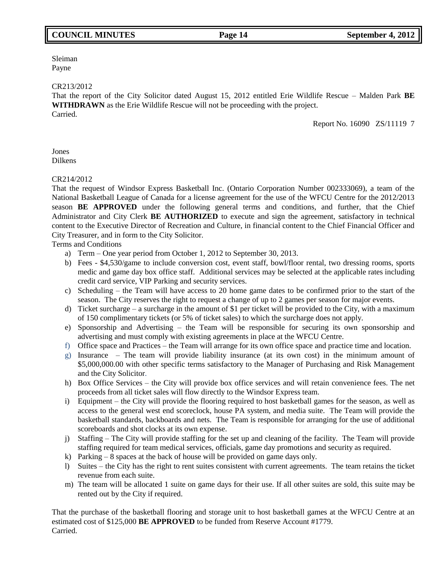## **COUNCIL MINUTES Page 14 September 4, 2012**

Sleiman Payne

#### CR213/2012

That the report of the City Solicitor dated August 15, 2012 entitled Erie Wildlife Rescue – Malden Park **BE WITHDRAWN** as the Erie Wildlife Rescue will not be proceeding with the project. Carried.

Report No. 16090 ZS/11119 7

Jones Dilkens

### CR214/2012

That the request of Windsor Express Basketball Inc. (Ontario Corporation Number 002333069), a team of the National Basketball League of Canada for a license agreement for the use of the WFCU Centre for the 2012/2013 season **BE APPROVED** under the following general terms and conditions, and further, that the Chief Administrator and City Clerk **BE AUTHORIZED** to execute and sign the agreement, satisfactory in technical content to the Executive Director of Recreation and Culture, in financial content to the Chief Financial Officer and City Treasurer, and in form to the City Solicitor.

Terms and Conditions

- a) Term One year period from October 1, 2012 to September 30, 2013.
- b) Fees \$4,530/game to include conversion cost, event staff, bowl/floor rental, two dressing rooms, sports medic and game day box office staff. Additional services may be selected at the applicable rates including credit card service, VIP Parking and security services.
- c) Scheduling the Team will have access to 20 home game dates to be confirmed prior to the start of the season. The City reserves the right to request a change of up to 2 games per season for major events.
- d) Ticket surcharge a surcharge in the amount of \$1 per ticket will be provided to the City, with a maximum of 150 complimentary tickets (or 5% of ticket sales) to which the surcharge does not apply.
- e) Sponsorship and Advertising the Team will be responsible for securing its own sponsorship and advertising and must comply with existing agreements in place at the WFCU Centre.
- f) Office space and Practices the Team will arrange for its own office space and practice time and location.
- g) Insurance The team will provide liability insurance (at its own cost) in the minimum amount of \$5,000,000.00 with other specific terms satisfactory to the Manager of Purchasing and Risk Management and the City Solicitor.
- h) Box Office Services the City will provide box office services and will retain convenience fees. The net proceeds from all ticket sales will flow directly to the Windsor Express team.
- i) Equipment the City will provide the flooring required to host basketball games for the season, as well as access to the general west end scoreclock, house PA system, and media suite. The Team will provide the basketball standards, backboards and nets. The Team is responsible for arranging for the use of additional scoreboards and shot clocks at its own expense.
- j) Staffing The City will provide staffing for the set up and cleaning of the facility. The Team will provide staffing required for team medical services, officials, game day promotions and security as required.
- k) Parking 8 spaces at the back of house will be provided on game days only.
- l) Suites the City has the right to rent suites consistent with current agreements. The team retains the ticket revenue from each suite.
- m) The team will be allocated 1 suite on game days for their use. If all other suites are sold, this suite may be rented out by the City if required.

That the purchase of the basketball flooring and storage unit to host basketball games at the WFCU Centre at an estimated cost of \$125,000 **BE APPROVED** to be funded from Reserve Account #1779. Carried.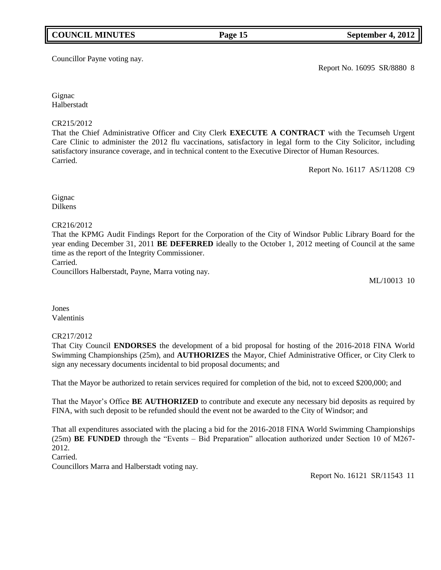## **COUNCIL MINUTES Page 15 September 4, 2012**

Councillor Payne voting nay.

Report No. 16095 SR/8880 8

**Gignac** Halberstadt

## CR215/2012

That the Chief Administrative Officer and City Clerk **EXECUTE A CONTRACT** with the Tecumseh Urgent Care Clinic to administer the 2012 flu vaccinations, satisfactory in legal form to the City Solicitor, including satisfactory insurance coverage, and in technical content to the Executive Director of Human Resources. Carried.

Report No. 16117 AS/11208 C9

Gignac Dilkens

## CR216/2012

That the KPMG Audit Findings Report for the Corporation of the City of Windsor Public Library Board for the year ending December 31, 2011 **BE DEFERRED** ideally to the October 1, 2012 meeting of Council at the same time as the report of the Integrity Commissioner.

Carried.

Councillors Halberstadt, Payne, Marra voting nay.

ML/10013 10

Jones Valentinis

## CR217/2012

That City Council **ENDORSES** the development of a bid proposal for hosting of the 2016-2018 FINA World Swimming Championships (25m), and **AUTHORIZES** the Mayor, Chief Administrative Officer, or City Clerk to sign any necessary documents incidental to bid proposal documents; and

That the Mayor be authorized to retain services required for completion of the bid, not to exceed \$200,000; and

That the Mayor's Office **BE AUTHORIZED** to contribute and execute any necessary bid deposits as required by FINA, with such deposit to be refunded should the event not be awarded to the City of Windsor; and

That all expenditures associated with the placing a bid for the 2016-2018 FINA World Swimming Championships  $(25m)$  **BE FUNDED** through the "Events – Bid Preparation" allocation authorized under Section 10 of M267-2012.

Carried.

Councillors Marra and Halberstadt voting nay.

Report No. 16121 SR/11543 11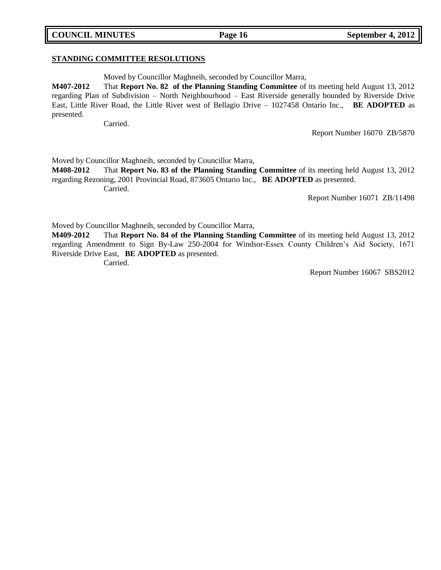# **STANDING COMMITTEE RESOLUTIONS**

Moved by Councillor Maghneih, seconded by Councillor Marra,

**M407-2012** That **Report No. 82 of the Planning Standing Committee** of its meeting held August 13, 2012 regarding Plan of Subdivision – North Neighbourhood – East Riverside generally bounded by Riverside Drive East, Little River Road, the Little River west of Bellagio Drive – 1027458 Ontario Inc., **BE ADOPTED** as presented.

Carried.

Report Number 16070 ZB/5870

Moved by Councillor Maghneih, seconded by Councillor Marra,

**M408-2012** That **Report No. 83 of the Planning Standing Committee** of its meeting held August 13, 2012 regarding Rezoning, 2001 Provincial Road, 873605 Ontario Inc., **BE ADOPTED** as presented. Carried.

Report Number 16071 ZB/11498

Moved by Councillor Maghneih, seconded by Councillor Marra,

**M409-2012** That **Report No. 84 of the Planning Standing Committee** of its meeting held August 13, 2012 regarding Amendment to Sign By-Law 250-2004 for Windsor-Essex County Children's Aid Society, 1671 Riverside Drive East, **BE ADOPTED** as presented.

Carried.

Report Number 16067 SBS2012

## **COUNCIL MINUTES Page 16 September 4, 2012**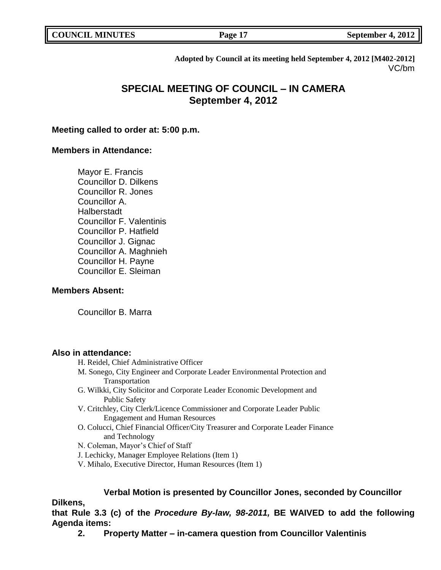| <b>COUNCIL MINUTES</b> |
|------------------------|
|                        |

**COUNCIL MINUTES COUNCIL SEPTEMBER 4, 2012** 

**Adopted by Council at its meeting held September 4, 2012 [M402-2012]** VC/bm

# **SPECIAL MEETING OF COUNCIL – IN CAMERA September 4, 2012**

## **Meeting called to order at: 5:00 p.m.**

## **Members in Attendance:**

Mayor E. Francis Councillor D. Dilkens Councillor R. Jones Councillor A. Halberstadt Councillor F. Valentinis Councillor P. Hatfield Councillor J. Gignac Councillor A. Maghnieh Councillor H. Payne Councillor E. Sleiman

## **Members Absent:**

Councillor B. Marra

## **Also in attendance:**

- H. Reidel, Chief Administrative Officer
- M. Sonego, City Engineer and Corporate Leader Environmental Protection and Transportation
- G. Wilkki, City Solicitor and Corporate Leader Economic Development and Public Safety
- V. Critchley, City Clerk/Licence Commissioner and Corporate Leader Public Engagement and Human Resources
- O. Colucci, Chief Financial Officer/City Treasurer and Corporate Leader Finance and Technology
- N. Coleman, Mayor's Chief of Staff
- J. Lechicky, Manager Employee Relations (Item 1)
- V. Mihalo, Executive Director, Human Resources (Item 1)

## **Verbal Motion is presented by Councillor Jones, seconded by Councillor**

## **Dilkens,**

**that Rule 3.3 (c) of the** *Procedure By-law, 98-2011,* **BE WAIVED to add the following Agenda items:**

**2. Property Matter – in-camera question from Councillor Valentinis**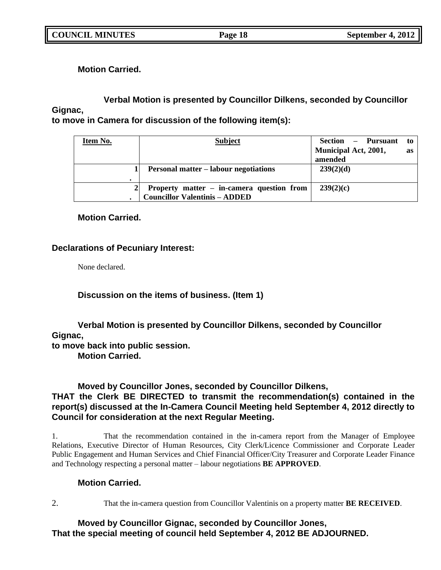**Motion Carried.**

# **Verbal Motion is presented by Councillor Dilkens, seconded by Councillor Gignac,**

**to move in Camera for discussion of the following item(s):**

| Item No. | <b>Subject</b>                               | Section – Pursuant          | to        |
|----------|----------------------------------------------|-----------------------------|-----------|
|          |                                              | <b>Municipal Act, 2001,</b> | <b>as</b> |
|          |                                              | amended                     |           |
|          | <b>Personal matter – labour negotiations</b> | 239(2)(d)                   |           |
|          |                                              |                             |           |
|          | Property matter – in-camera question from    | 239(2)(c)                   |           |
|          | <b>Councillor Valentinis - ADDED</b>         |                             |           |

## **Motion Carried.**

## **Declarations of Pecuniary Interest:**

None declared.

**Discussion on the items of business. (Item 1)**

## **Verbal Motion is presented by Councillor Dilkens, seconded by Councillor Gignac,**

**to move back into public session.**

**Motion Carried.**

## **Moved by Councillor Jones, seconded by Councillor Dilkens,**

## **THAT the Clerk BE DIRECTED to transmit the recommendation(s) contained in the report(s) discussed at the In-Camera Council Meeting held September 4, 2012 directly to Council for consideration at the next Regular Meeting.**

1. That the recommendation contained in the in-camera report from the Manager of Employee Relations, Executive Director of Human Resources, City Clerk/Licence Commissioner and Corporate Leader Public Engagement and Human Services and Chief Financial Officer/City Treasurer and Corporate Leader Finance and Technology respecting a personal matter – labour negotiations **BE APPROVED**.

## **Motion Carried.**

2. That the in-camera question from Councillor Valentinis on a property matter **BE RECEIVED**.

## **Moved by Councillor Gignac, seconded by Councillor Jones, That the special meeting of council held September 4, 2012 BE ADJOURNED.**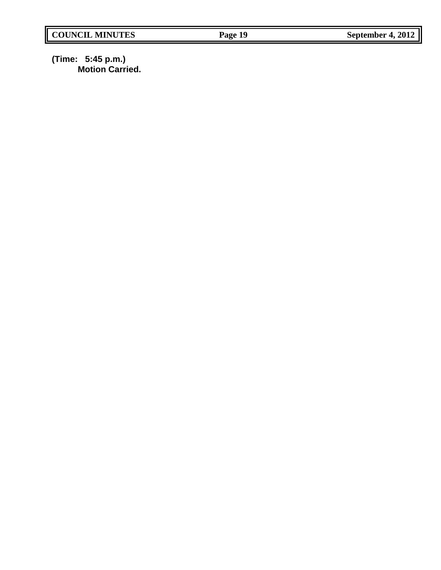**(Time: 5:45 p.m.) Motion Carried.**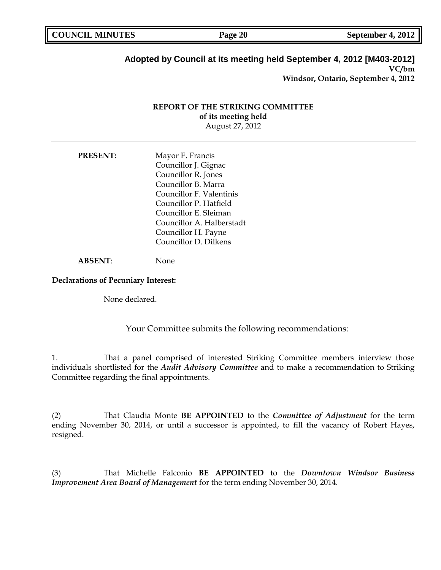| <b>COUNCIL MINUTES</b> | Page 20 | September 4, 2012 |
|------------------------|---------|-------------------|
|                        |         |                   |

## **Adopted by Council at its meeting held September 4, 2012 [M403-2012] VC/bm**

**Windsor, Ontario, September 4, 2012**

## **REPORT OF THE STRIKING COMMITTEE of its meeting held** August 27, 2012

| Mayor E. Francis          |
|---------------------------|
| Councillor J. Gignac      |
| Councillor R. Jones       |
| Councillor B. Marra       |
| Councillor F. Valentinis  |
| Councillor P. Hatfield    |
| Councillor E. Sleiman     |
| Councillor A. Halberstadt |
| Councillor H. Payne       |
| Councillor D. Dilkens     |
|                           |

**ABSENT**: None

### **Declarations of Pecuniary Interest:**

None declared.

Your Committee submits the following recommendations:

1. That a panel comprised of interested Striking Committee members interview those individuals shortlisted for the *Audit Advisory Committee* and to make a recommendation to Striking Committee regarding the final appointments.

(2) That Claudia Monte **BE APPOINTED** to the *Committee of Adjustment* for the term ending November 30, 2014, or until a successor is appointed, to fill the vacancy of Robert Hayes, resigned.

(3) That Michelle Falconio **BE APPOINTED** to the *Downtown Windsor Business Improvement Area Board of Management* for the term ending November 30, 2014.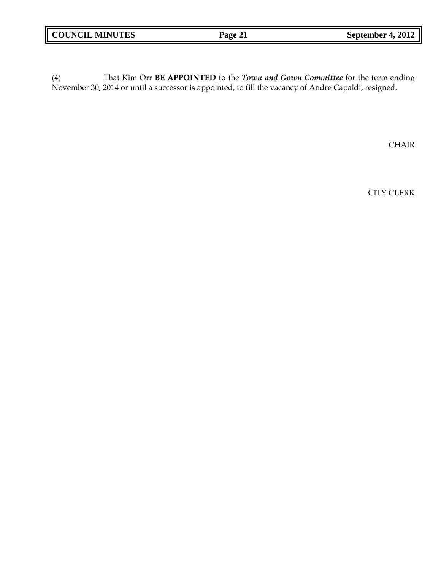| <b>COUNCIL MINUTES</b> | Page 21 | September 4, 2012 |
|------------------------|---------|-------------------|
|                        |         |                   |

(4) That Kim Orr **BE APPOINTED** to the *Town and Gown Committee* for the term ending November 30, 2014 or until a successor is appointed, to fill the vacancy of Andre Capaldi, resigned.

CHAIR

CITY CLERK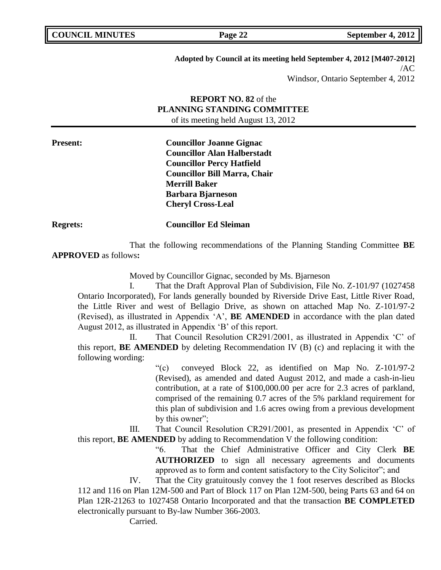| <b>COUNCIL MINUTES</b> |  |
|------------------------|--|
|------------------------|--|

**Adopted by Council at its meeting held September 4, 2012 [M407-2012]** /AC Windsor, Ontario September 4, 2012

## **REPORT NO. 82** of the **PLANNING STANDING COMMITTEE** of its meeting held August 13, 2012

**Present: Councillor Joanne Gignac Councillor Alan Halberstadt Councillor Percy Hatfield Councillor Bill Marra, Chair Merrill Baker Barbara Bjarneson Cheryl Cross-Leal**

**Regrets: Councillor Ed Sleiman**

That the following recommendations of the Planning Standing Committee **BE APPROVED** as follows**:** 

Moved by Councillor Gignac, seconded by Ms. Bjarneson

I. That the Draft Approval Plan of Subdivision, File No. Z-101/97 (1027458 Ontario Incorporated), For lands generally bounded by Riverside Drive East, Little River Road, the Little River and west of Bellagio Drive, as shown on attached Map No. Z-101/97-2 (Revised), as illustrated in Appendix 'A', **BE AMENDED** in accordance with the plan dated August 2012, as illustrated in Appendix 'B' of this report.

II. That Council Resolution CR291/2001, as illustrated in Appendix 'C' of this report, **BE AMENDED** by deleting Recommendation IV (B) (c) and replacing it with the following wording:

> ―(c) conveyed Block 22, as identified on Map No. Z-101/97-2 (Revised), as amended and dated August 2012, and made a cash-in-lieu contribution, at a rate of \$100,000.00 per acre for 2.3 acres of parkland, comprised of the remaining 0.7 acres of the 5% parkland requirement for this plan of subdivision and 1.6 acres owing from a previous development by this owner";

III. That Council Resolution CR291/2001, as presented in Appendix 'C' of this report, **BE AMENDED** by adding to Recommendation V the following condition:

> ―6. That the Chief Administrative Officer and City Clerk **BE AUTHORIZED** to sign all necessary agreements and documents approved as to form and content satisfactory to the City Solicitor"; and

IV. That the City gratuitously convey the 1 foot reserves described as Blocks 112 and 116 on Plan 12M-500 and Part of Block 117 on Plan 12M-500, being Parts 63 and 64 on Plan 12R-21263 to 1027458 Ontario Incorporated and that the transaction **BE COMPLETED** electronically pursuant to By-law Number 366-2003.

Carried.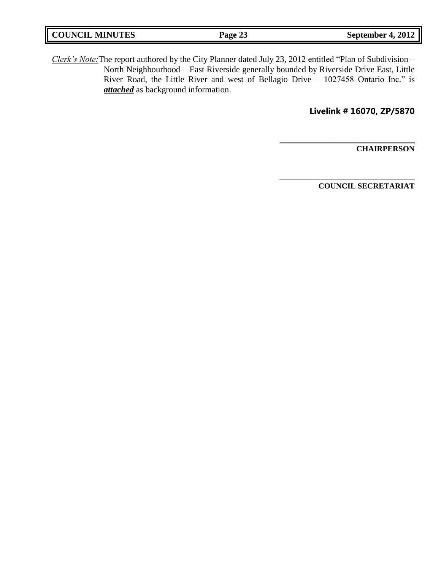| <b>COUNCIL MINUTES</b> | Page 23 | September 4, 2012 |
|------------------------|---------|-------------------|
|                        |         |                   |

*Clerk's Note:*The report authored by the City Planner dated July 23, 2012 entitled "Plan of Subdivision – North Neighbourhood – East Riverside generally bounded by Riverside Drive East, Little River Road, the Little River and west of Bellagio Drive - 1027458 Ontario Inc." is *attached* as background information.

**Livelink # 16070, ZP/5870**

**\_\_\_\_\_\_\_\_\_\_\_\_\_\_\_\_\_\_\_\_\_\_\_\_\_\_\_\_\_\_\_\_\_\_**

\_\_\_\_\_\_\_\_\_\_\_\_\_\_\_\_\_\_\_\_\_\_\_\_\_\_\_\_\_\_\_\_\_\_

**CHAIRPERSON**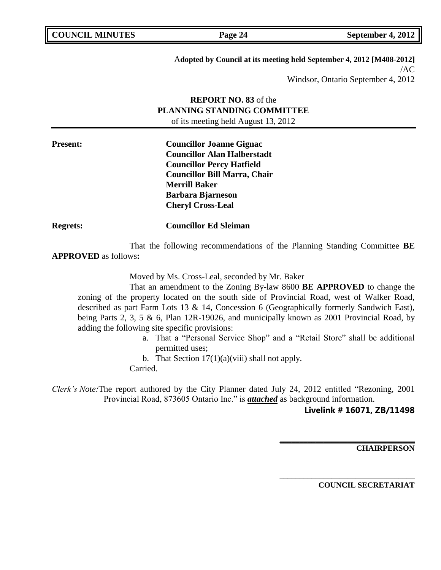A**dopted by Council at its meeting held September 4, 2012 [M408-2012]** /AC Windsor, Ontario September 4, 2012

## **REPORT NO. 83** of the **PLANNING STANDING COMMITTEE** of its meeting held August 13, 2012

**Present: Councillor Joanne Gignac Councillor Alan Halberstadt Councillor Percy Hatfield Councillor Bill Marra, Chair Merrill Baker Barbara Bjarneson Cheryl Cross-Leal**

**Regrets: Councillor Ed Sleiman**

That the following recommendations of the Planning Standing Committee **BE APPROVED** as follows**:** 

Moved by Ms. Cross-Leal, seconded by Mr. Baker

That an amendment to the Zoning By-law 8600 **BE APPROVED** to change the zoning of the property located on the south side of Provincial Road, west of Walker Road, described as part Farm Lots 13 & 14, Concession 6 (Geographically formerly Sandwich East), being Parts 2, 3, 5 & 6, Plan 12R-19026, and municipally known as 2001 Provincial Road, by adding the following site specific provisions:

a. That a "Personal Service Shop" and a "Retail Store" shall be additional permitted uses;

b. That Section  $17(1)(a)(viii)$  shall not apply.

Carried.

*Clerk's Note:*The report authored by the City Planner dated July 24, 2012 entitled "Rezoning, 2001 Provincial Road, 873605 Ontario Inc." is *attached* as background information.

## **Livelink # 16071, ZB/11498**

**\_\_\_\_\_\_\_\_\_\_\_\_\_\_\_\_\_\_\_\_\_\_\_\_\_\_\_\_\_\_\_\_\_\_**

\_\_\_\_\_\_\_\_\_\_\_\_\_\_\_\_\_\_\_\_\_\_\_\_\_\_\_\_\_\_\_\_\_\_

**CHAIRPERSON**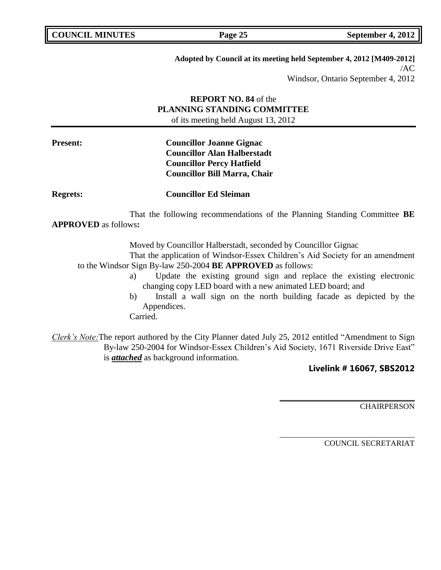| <b>COUNCIL MINUTES</b> |  |
|------------------------|--|
|------------------------|--|

**Adopted by Council at its meeting held September 4, 2012 [M409-2012]** /AC

Windsor, Ontario September 4, 2012

## **REPORT NO. 84** of the **PLANNING STANDING COMMITTEE** of its meeting held August 13, 2012

## **Present: Councillor Joanne Gignac Councillor Alan Halberstadt Councillor Percy Hatfield Councillor Bill Marra, Chair**

**Regrets: Councillor Ed Sleiman**

That the following recommendations of the Planning Standing Committee **BE APPROVED** as follows**:** 

Moved by Councillor Halberstadt, seconded by Councillor Gignac

That the application of Windsor-Essex Children's Aid Society for an amendment to the Windsor Sign By-law 250-2004 **BE APPROVED** as follows:

- a) Update the existing ground sign and replace the existing electronic changing copy LED board with a new animated LED board; and
- b) Install a wall sign on the north building facade as depicted by the Appendices.

Carried.

*Clerk's Note:*The report authored by the City Planner dated July 25, 2012 entitled "Amendment to Sign By-law 250-2004 for Windsor-Essex Children's Aid Society, 1671 Riverside Drive East" is *attached* as background information.

## **Livelink # 16067, SBS2012**

**\_\_\_\_\_\_\_\_\_\_\_\_\_\_\_\_\_\_\_\_\_\_\_\_\_\_\_\_\_\_\_\_\_\_**

\_\_\_\_\_\_\_\_\_\_\_\_\_\_\_\_\_\_\_\_\_\_\_\_\_\_\_\_\_\_\_\_\_\_

**CHAIRPERSON**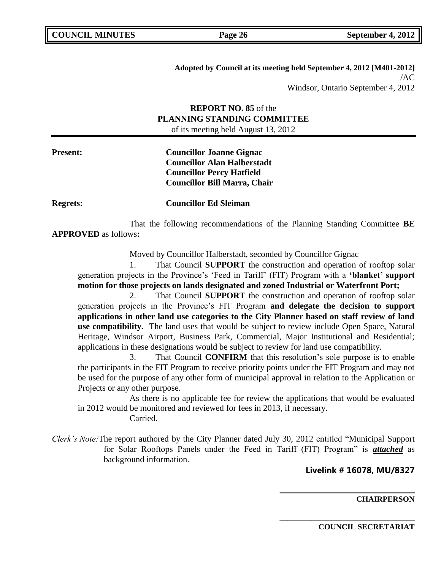**Adopted by Council at its meeting held September 4, 2012 [M401-2012]** /AC Windsor, Ontario September 4, 2012

## **REPORT NO. 85** of the **PLANNING STANDING COMMITTEE** of its meeting held August 13, 2012

**Present: Councillor Joanne Gignac Councillor Alan Halberstadt Councillor Percy Hatfield Councillor Bill Marra, Chair**

**Regrets: Councillor Ed Sleiman**

That the following recommendations of the Planning Standing Committee **BE APPROVED** as follows**:** 

Moved by Councillor Halberstadt, seconded by Councillor Gignac

1. That Council **SUPPORT** the construction and operation of rooftop solar generation projects in the Province's ‗Feed in Tariff' (FIT) Program with a **"blanket" support motion for those projects on lands designated and zoned Industrial or Waterfront Port;**

2. That Council **SUPPORT** the construction and operation of rooftop solar generation projects in the Province's FIT Program **and delegate the decision to support applications in other land use categories to the City Planner based on staff review of land use compatibility.** The land uses that would be subject to review include Open Space, Natural Heritage, Windsor Airport, Business Park, Commercial, Major Institutional and Residential; applications in these designations would be subject to review for land use compatibility.

3. That Council **CONFIRM** that this resolution's sole purpose is to enable the participants in the FIT Program to receive priority points under the FIT Program and may not be used for the purpose of any other form of municipal approval in relation to the Application or Projects or any other purpose.

As there is no applicable fee for review the applications that would be evaluated in 2012 would be monitored and reviewed for fees in 2013, if necessary.

Carried.

*Clerk's Note:* The report authored by the City Planner dated July 30, 2012 entitled "Municipal Support" for Solar Rooftops Panels under the Feed in Tariff (FIT) Program" is **attached** as background information.

**Livelink # 16078, MU/8327**

**\_\_\_\_\_\_\_\_\_\_\_\_\_\_\_\_\_\_\_\_\_\_\_\_\_\_\_\_\_\_\_\_\_\_**

\_\_\_\_\_\_\_\_\_\_\_\_\_\_\_\_\_\_\_\_\_\_\_\_\_\_\_\_\_\_\_\_\_\_

**CHAIRPERSON**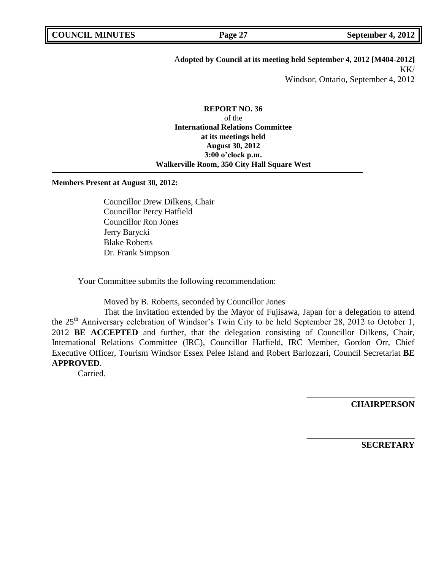# A**dopted by Council at its meeting held September 4, 2012 [M404-2012]** KK/

Windsor, Ontario, September 4, 2012

**REPORT NO. 36** of the **International Relations Committee at its meetings held August 30, 2012 3:00 o"clock p.m. Walkerville Room, 350 City Hall Square West**

**Members Present at August 30, 2012:**

Councillor Drew Dilkens, Chair Councillor Percy Hatfield Councillor Ron Jones Jerry Barycki Blake Roberts Dr. Frank Simpson

Your Committee submits the following recommendation:

Moved by B. Roberts, seconded by Councillor Jones

That the invitation extended by the Mayor of Fujisawa, Japan for a delegation to attend the 25<sup>th</sup> Anniversary celebration of Windsor's Twin City to be held September 28, 2012 to October 1, 2012 **BE ACCEPTED** and further, that the delegation consisting of Councillor Dilkens, Chair, International Relations Committee (IRC), Councillor Hatfield, IRC Member, Gordon Orr, Chief Executive Officer, Tourism Windsor Essex Pelee Island and Robert Barlozzari, Council Secretariat **BE APPROVED**.

Carried.

**CHAIRPERSON**

\_\_\_\_\_\_\_\_\_\_\_\_\_\_\_\_\_\_\_\_\_\_\_\_\_

**\_\_\_\_\_\_\_\_\_\_\_\_\_\_\_\_\_\_\_\_\_\_\_\_\_**

**SECRETARY**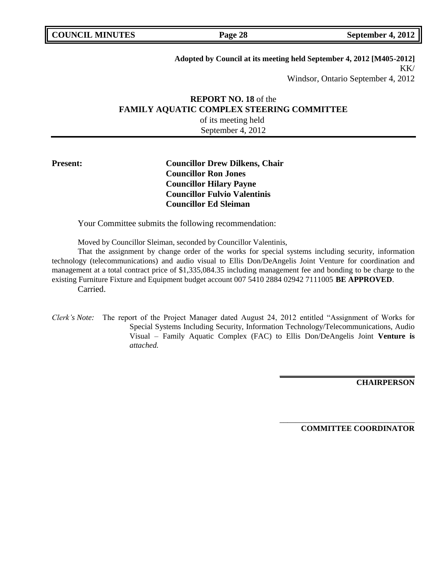| <b>COUNCIL MINUTES</b> |
|------------------------|
|------------------------|

## **Adopted by Council at its meeting held September 4, 2012 [M405-2012]** KK/ Windsor, Ontario September 4, 2012

## **REPORT NO. 18** of the **FAMILY AQUATIC COMPLEX STEERING COMMITTEE** of its meeting held

September 4, 2012

## **Present: Councillor Drew Dilkens, Chair Councillor Ron Jones Councillor Hilary Payne Councillor Fulvio Valentinis Councillor Ed Sleiman**

Your Committee submits the following recommendation:

Moved by Councillor Sleiman, seconded by Councillor Valentinis,

That the assignment by change order of the works for special systems including security, information technology (telecommunications) and audio visual to Ellis Don/DeAngelis Joint Venture for coordination and management at a total contract price of \$1,335,084.35 including management fee and bonding to be charge to the existing Furniture Fixture and Equipment budget account 007 5410 2884 02942 7111005 **BE APPROVED**. Carried.

*Clerk's Note:* The report of the Project Manager dated August 24, 2012 entitled "Assignment of Works for Special Systems Including Security, Information Technology/Telecommunications, Audio Visual – Family Aquatic Complex (FAC) to Ellis Don/DeAngelis Joint **Venture is**  *attached.*

**CHAIRPERSON**

**COMMITTEE COORDINATOR**

**\_\_\_\_\_\_\_\_\_\_\_\_\_\_\_\_\_\_\_\_\_\_\_\_\_\_\_\_\_\_\_\_\_\_**

\_\_\_\_\_\_\_\_\_\_\_\_\_\_\_\_\_\_\_\_\_\_\_\_\_\_\_\_\_\_\_\_\_\_